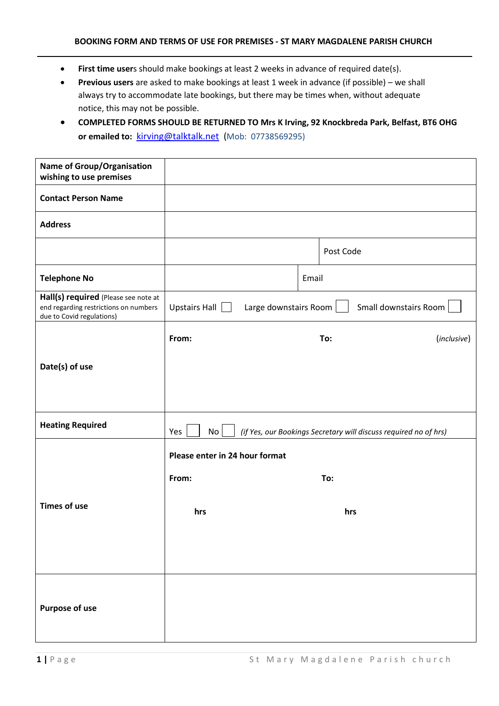- **First time user**s should make bookings at least 2 weeks in advance of required date(s).
- **Previous users** are asked to make bookings at least 1 week in advance (if possible) we shall always try to accommodate late bookings, but there may be times when, without adequate notice, this may not be possible.
- **COMPLETED FORMS SHOULD BE RETURNED TO Mrs K Irving, 92 Knockbreda Park, Belfast, BT6 OHG or emailed to:** [kirving@talktalk.net](mailto:kirving@talktalk.net) (Mob: 07738569295)

| <b>Name of Group/Organisation</b><br>wishing to use premises                                               |                                                                               |     |                    |  |  |
|------------------------------------------------------------------------------------------------------------|-------------------------------------------------------------------------------|-----|--------------------|--|--|
| <b>Contact Person Name</b>                                                                                 |                                                                               |     |                    |  |  |
| <b>Address</b>                                                                                             |                                                                               |     |                    |  |  |
|                                                                                                            |                                                                               |     | Post Code          |  |  |
| <b>Telephone No</b>                                                                                        | Email                                                                         |     |                    |  |  |
| Hall(s) required (Please see note at<br>end regarding restrictions on numbers<br>due to Covid regulations) | Upstairs Hall $\Box$<br>Small downstairs Room<br>Large downstairs Room        |     |                    |  |  |
|                                                                                                            | From:                                                                         |     | (inclusive)<br>To: |  |  |
| Date(s) of use                                                                                             |                                                                               |     |                    |  |  |
|                                                                                                            |                                                                               |     |                    |  |  |
| <b>Heating Required</b>                                                                                    | Yes<br>No<br>(if Yes, our Bookings Secretary will discuss required no of hrs) |     |                    |  |  |
|                                                                                                            | Please enter in 24 hour format                                                |     |                    |  |  |
|                                                                                                            | From:                                                                         | To: |                    |  |  |
| <b>Times of use</b>                                                                                        | hrs                                                                           |     | hrs                |  |  |
|                                                                                                            |                                                                               |     |                    |  |  |
|                                                                                                            |                                                                               |     |                    |  |  |
| <b>Purpose of use</b>                                                                                      |                                                                               |     |                    |  |  |
|                                                                                                            |                                                                               |     |                    |  |  |